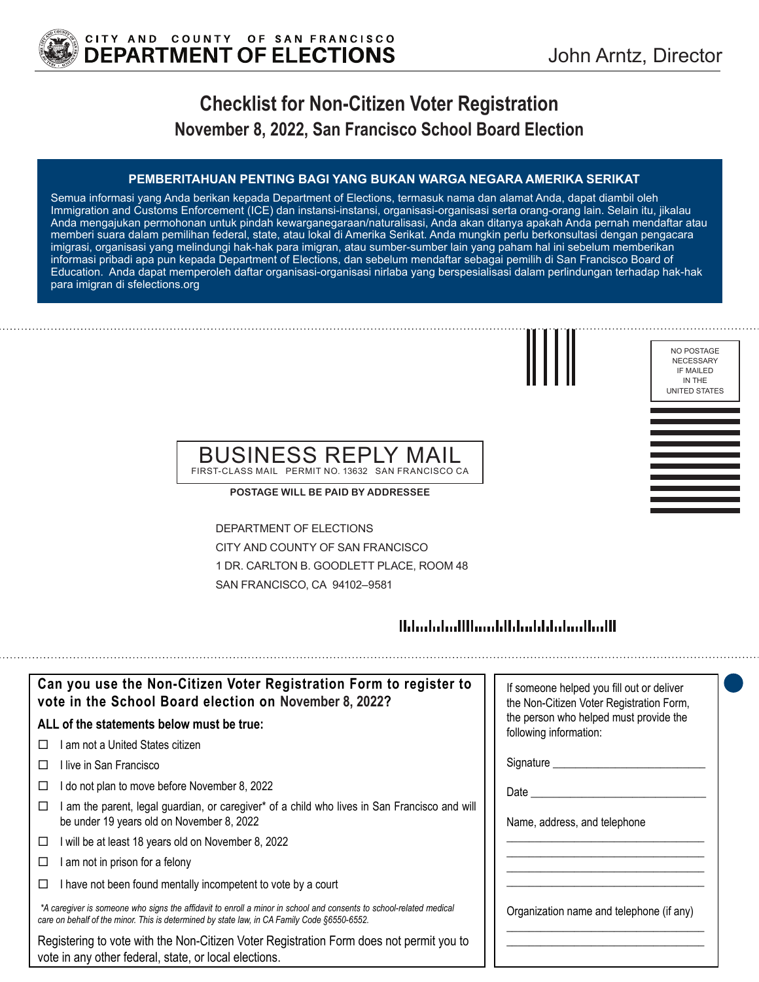

# **Checklist for Non-Citizen Voter Registration November 8, 2022, San Francisco School Board Election**

### **PEMBERITAHUAN PENTING BAGI YANG BUKAN WARGA NEGARA AMERIKA SERIKAT**

Semua informasi yang Anda berikan kepada Department of Elections, termasuk nama dan alamat Anda, dapat diambil oleh Immigration and Customs Enforcement (ICE) dan instansi-instansi, organisasi-organisasi serta orang-orang lain. Selain itu, jikalau Anda mengajukan permohonan untuk pindah kewarganegaraan/naturalisasi, Anda akan ditanya apakah Anda pernah mendaftar atau memberi suara dalam pemilihan federal, state, atau lokal di Amerika Serikat. Anda mungkin perlu berkonsultasi dengan pengacara imigrasi, organisasi yang melindungi hak-hak para imigran, atau sumber-sumber lain yang paham hal ini sebelum memberikan informasi pribadi apa pun kepada Department of Elections, dan sebelum mendaftar sebagai pemilih di San Francisco Board of Education. Anda dapat memperoleh daftar organisasi-organisasi nirlaba yang berspesialisasi dalam perlindungan terhadap hak-hak para imigran di sfelections.org



NO POSTAGE NECESSARY IF MAILED IN THE UNITED STATES

### BUSINESS REPLY MAIL FIRST-CLASS MAIL PERMIT NO. 13632 SAN FRANCISCO CA

**POSTAGE WILL BE PAID BY ADDRESSEE**

DEPARTMENT OF ELECTIONS CITY AND COUNTY OF SAN FRANCISCO 1 DR. CARLTON B. GOODLETT PLACE, ROOM 48 SAN FRANCISCO, CA 94102–9581

## 

| Can you use the Non-Citizen Voter Registration Form to register to<br>vote in the School Board election on November 8, 2022?                                                                                      | If someone helped you fill out or deliver<br>the Non-Citizen Voter Registration Form, |
|-------------------------------------------------------------------------------------------------------------------------------------------------------------------------------------------------------------------|---------------------------------------------------------------------------------------|
| ALL of the statements below must be true:                                                                                                                                                                         | the person who helped must provide the<br>following information:                      |
| ∣ am not a United States citizen.<br>П                                                                                                                                                                            |                                                                                       |
| ⊟live in San Francisco                                                                                                                                                                                            | Signature __________                                                                  |
| I do not plan to move before November 8, 2022                                                                                                                                                                     | Date                                                                                  |
| am the parent, legal guardian, or caregiver* of a child who lives in San Francisco and will<br>be under 19 years old on November 8, 2022                                                                          | Name, address, and telephone                                                          |
| will be at least 18 years old on November 8, 2022<br>□                                                                                                                                                            |                                                                                       |
| am not in prison for a felony                                                                                                                                                                                     |                                                                                       |
| I have not been found mentally incompetent to vote by a court                                                                                                                                                     |                                                                                       |
| *A caregiver is someone who signs the affidavit to enroll a minor in school and consents to school-related medical<br>care on behalf of the minor. This is determined by state law, in CA Family Code §6550-6552. | Organization name and telephone (if any)                                              |
| Registering to vote with the Non-Citizen Voter Registration Form does not permit you to<br>vote in any other federal, state, or local elections.                                                                  |                                                                                       |